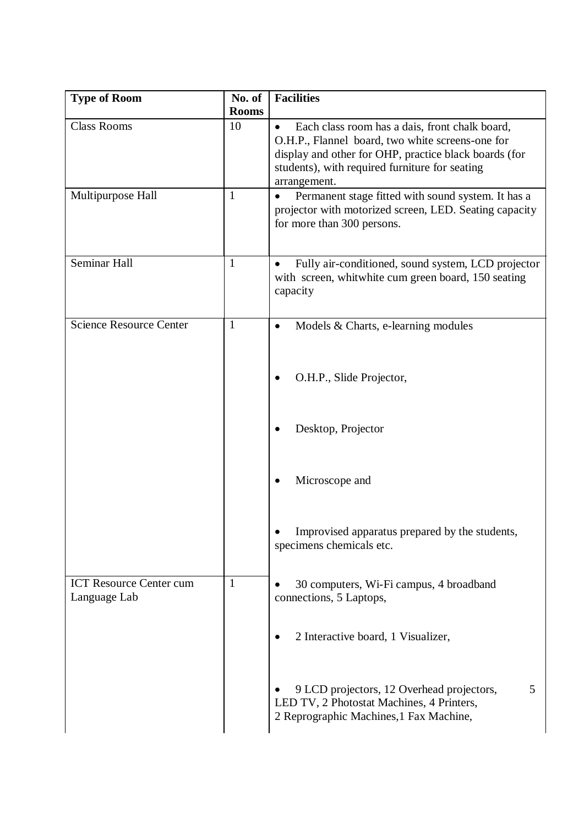| <b>Type of Room</b>                            | No. of<br><b>Rooms</b> | <b>Facilities</b>                                                                                                                                                                                                                          |
|------------------------------------------------|------------------------|--------------------------------------------------------------------------------------------------------------------------------------------------------------------------------------------------------------------------------------------|
| <b>Class Rooms</b>                             | 10                     | Each class room has a dais, front chalk board,<br>$\bullet$<br>O.H.P., Flannel board, two white screens-one for<br>display and other for OHP, practice black boards (for<br>students), with required furniture for seating<br>arrangement. |
| Multipurpose Hall                              | 1                      | Permanent stage fitted with sound system. It has a<br>$\bullet$<br>projector with motorized screen, LED. Seating capacity<br>for more than 300 persons.                                                                                    |
| Seminar Hall                                   | 1                      | Fully air-conditioned, sound system, LCD projector<br>with screen, whitwhite cum green board, 150 seating<br>capacity                                                                                                                      |
| <b>Science Resource Center</b>                 | 1                      | Models & Charts, e-learning modules<br>$\bullet$                                                                                                                                                                                           |
|                                                |                        | O.H.P., Slide Projector,                                                                                                                                                                                                                   |
|                                                |                        | Desktop, Projector                                                                                                                                                                                                                         |
|                                                |                        | Microscope and                                                                                                                                                                                                                             |
|                                                |                        | Improvised apparatus prepared by the students,<br>specimens chemicals etc.                                                                                                                                                                 |
| <b>ICT Resource Center cum</b><br>Language Lab | $\mathbf{1}$           | 30 computers, Wi-Fi campus, 4 broadband<br>connections, 5 Laptops,                                                                                                                                                                         |
|                                                |                        | 2 Interactive board, 1 Visualizer,                                                                                                                                                                                                         |
|                                                |                        | 9 LCD projectors, 12 Overhead projectors,<br>5<br>LED TV, 2 Photostat Machines, 4 Printers,<br>2 Reprographic Machines, 1 Fax Machine,                                                                                                     |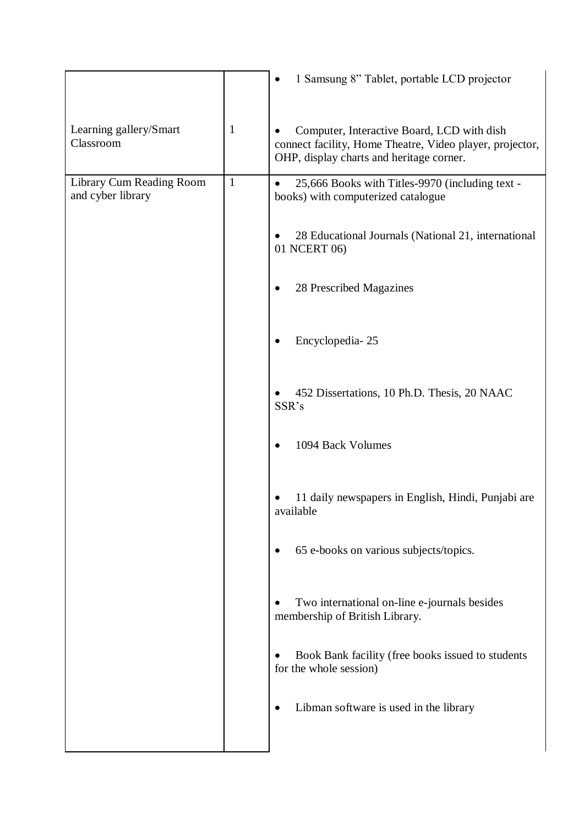|                                               |              | 1 Samsung 8" Tablet, portable LCD projector                                                                                                        |
|-----------------------------------------------|--------------|----------------------------------------------------------------------------------------------------------------------------------------------------|
| Learning gallery/Smart<br>Classroom           | 1            | Computer, Interactive Board, LCD with dish<br>connect facility, Home Theatre, Video player, projector,<br>OHP, display charts and heritage corner. |
| Library Cum Reading Room<br>and cyber library | $\mathbf{1}$ | 25,666 Books with Titles-9970 (including text -<br>books) with computerized catalogue                                                              |
|                                               |              | 28 Educational Journals (National 21, international<br>01 NCERT 06)                                                                                |
|                                               |              | 28 Prescribed Magazines                                                                                                                            |
|                                               |              | Encyclopedia-25                                                                                                                                    |
|                                               |              | 452 Dissertations, 10 Ph.D. Thesis, 20 NAAC<br>$\bullet$<br>SSR's                                                                                  |
|                                               |              | 1094 Back Volumes                                                                                                                                  |
|                                               |              | 11 daily newspapers in English, Hindi, Punjabi are<br>available                                                                                    |
|                                               |              | 65 e-books on various subjects/topics.                                                                                                             |
|                                               |              | Two international on-line e-journals besides<br>membership of British Library.                                                                     |
|                                               |              | Book Bank facility (free books issued to students<br>for the whole session)                                                                        |
|                                               |              | Libman software is used in the library                                                                                                             |
|                                               |              |                                                                                                                                                    |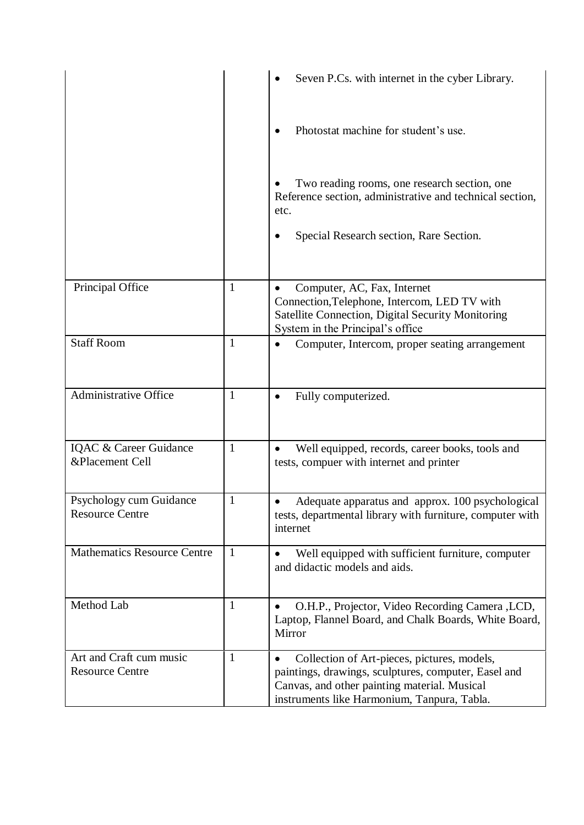|                                                   |              | Seven P.Cs. with internet in the cyber Library.                                                                                                                                                                 |
|---------------------------------------------------|--------------|-----------------------------------------------------------------------------------------------------------------------------------------------------------------------------------------------------------------|
|                                                   |              | Photostat machine for student's use.                                                                                                                                                                            |
|                                                   |              | Two reading rooms, one research section, one<br>Reference section, administrative and technical section,<br>etc.<br>Special Research section, Rare Section.                                                     |
| Principal Office                                  | 1            | Computer, AC, Fax, Internet<br>Connection, Telephone, Intercom, LED TV with<br>Satellite Connection, Digital Security Monitoring<br>System in the Principal's office                                            |
| <b>Staff Room</b>                                 | $\mathbf{1}$ | Computer, Intercom, proper seating arrangement                                                                                                                                                                  |
| <b>Administrative Office</b>                      | $\mathbf{1}$ | Fully computerized.                                                                                                                                                                                             |
| IQAC & Career Guidance<br>&Placement Cell         | $\mathbf{1}$ | Well equipped, records, career books, tools and<br>tests, compuer with internet and printer                                                                                                                     |
| Psychology cum Guidance<br><b>Resource Centre</b> | $\mathbf{1}$ | Adequate apparatus and approx. 100 psychological<br>tests, departmental library with furniture, computer with<br>internet                                                                                       |
| <b>Mathematics Resource Centre</b>                | $\mathbf{1}$ | Well equipped with sufficient furniture, computer<br>and didactic models and aids.                                                                                                                              |
| Method Lab                                        | $\mathbf{1}$ | O.H.P., Projector, Video Recording Camera , LCD,<br>٠<br>Laptop, Flannel Board, and Chalk Boards, White Board,<br>Mirror                                                                                        |
| Art and Craft cum music<br><b>Resource Centre</b> | $\mathbf{1}$ | Collection of Art-pieces, pictures, models,<br>$\bullet$<br>paintings, drawings, sculptures, computer, Easel and<br>Canvas, and other painting material. Musical<br>instruments like Harmonium, Tanpura, Tabla. |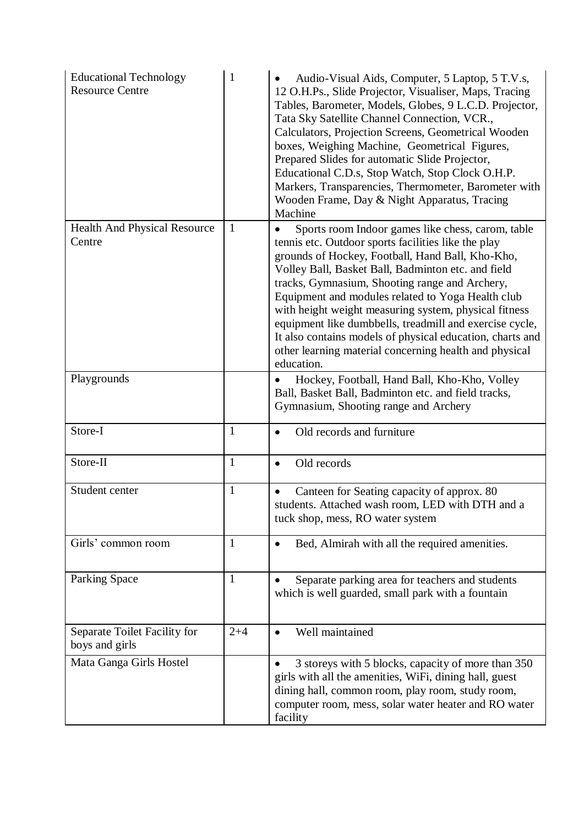| <b>Educational Technology</b><br><b>Resource Centre</b> | 1            | Audio-Visual Aids, Computer, 5 Laptop, 5 T.V.s,<br>12 O.H.Ps., Slide Projector, Visualiser, Maps, Tracing<br>Tables, Barometer, Models, Globes, 9 L.C.D. Projector,<br>Tata Sky Satellite Channel Connection, VCR.,<br>Calculators, Projection Screens, Geometrical Wooden<br>boxes, Weighing Machine, Geometrical Figures,<br>Prepared Slides for automatic Slide Projector,<br>Educational C.D.s, Stop Watch, Stop Clock O.H.P.<br>Markers, Transparencies, Thermometer, Barometer with<br>Wooden Frame, Day & Night Apparatus, Tracing<br>Machine                               |
|---------------------------------------------------------|--------------|------------------------------------------------------------------------------------------------------------------------------------------------------------------------------------------------------------------------------------------------------------------------------------------------------------------------------------------------------------------------------------------------------------------------------------------------------------------------------------------------------------------------------------------------------------------------------------|
| <b>Health And Physical Resource</b><br>Centre           | $\mathbf{1}$ | Sports room Indoor games like chess, carom, table<br>tennis etc. Outdoor sports facilities like the play<br>grounds of Hockey, Football, Hand Ball, Kho-Kho,<br>Volley Ball, Basket Ball, Badminton etc. and field<br>tracks, Gymnasium, Shooting range and Archery,<br>Equipment and modules related to Yoga Health club<br>with height weight measuring system, physical fitness<br>equipment like dumbbells, treadmill and exercise cycle,<br>It also contains models of physical education, charts and<br>other learning material concerning health and physical<br>education. |
| Playgrounds                                             |              | Hockey, Football, Hand Ball, Kho-Kho, Volley<br>Ball, Basket Ball, Badminton etc. and field tracks,<br>Gymnasium, Shooting range and Archery                                                                                                                                                                                                                                                                                                                                                                                                                                       |
| Store-I                                                 | $\mathbf{1}$ | Old records and furniture<br>$\bullet$                                                                                                                                                                                                                                                                                                                                                                                                                                                                                                                                             |
| Store-II                                                | $\mathbf{1}$ | Old records<br>$\bullet$                                                                                                                                                                                                                                                                                                                                                                                                                                                                                                                                                           |
| Student center                                          | $\mathbf{1}$ | Canteen for Seating capacity of approx. 80<br>students. Attached wash room, LED with DTH and a<br>tuck shop, mess, RO water system                                                                                                                                                                                                                                                                                                                                                                                                                                                 |
| Girls' common room                                      | 1            | Bed, Almirah with all the required amenities.                                                                                                                                                                                                                                                                                                                                                                                                                                                                                                                                      |
| <b>Parking Space</b>                                    | $\mathbf{1}$ | Separate parking area for teachers and students<br>which is well guarded, small park with a fountain                                                                                                                                                                                                                                                                                                                                                                                                                                                                               |
| Separate Toilet Facility for<br>boys and girls          | $2 + 4$      | Well maintained<br>$\bullet$                                                                                                                                                                                                                                                                                                                                                                                                                                                                                                                                                       |
| Mata Ganga Girls Hostel                                 |              | 3 storeys with 5 blocks, capacity of more than 350<br>girls with all the amenities, WiFi, dining hall, guest<br>dining hall, common room, play room, study room,<br>computer room, mess, solar water heater and RO water<br>facility                                                                                                                                                                                                                                                                                                                                               |